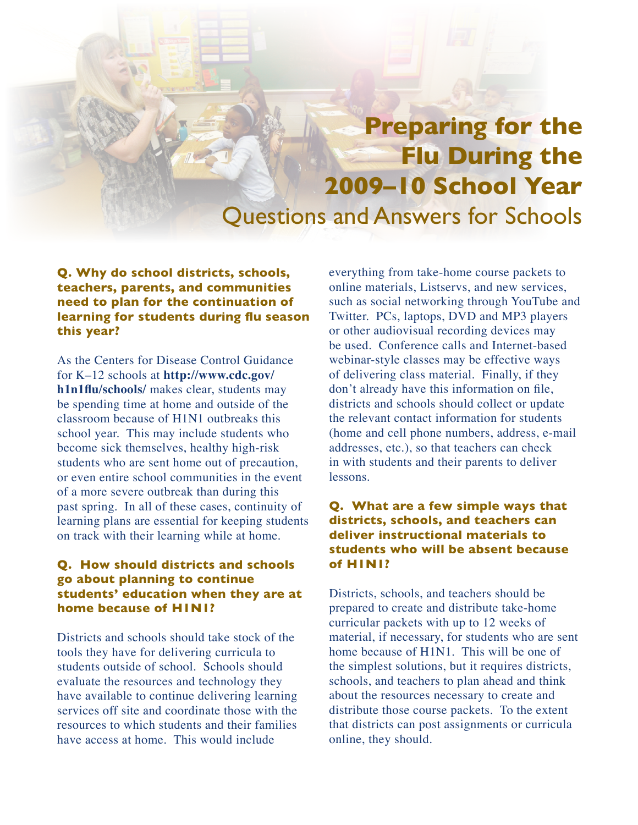# **Preparing for the Flu During the 2009–10 School Year** Questions and Answers for Schools

### **Q. Why do school districts, schools, teachers, parents, and communities need to plan for the continuation of learning for students during flu season this year?**

As the Centers for Disease Control Guidance for K–12 schools at **http://www.cdc.gov/ h1n1flu/schools/** makes clear, students may be spending time at home and outside of the classroom because of H1N1 outbreaks this school year. This may include students who become sick themselves, healthy high-risk students who are sent home out of precaution, or even entire school communities in the event of a more severe outbreak than during this past spring. In all of these cases, continuity of learning plans are essential for keeping students on track with their learning while at home.

# **Q. How should districts and schools go about planning to continue students' education when they are at home because of H1N1?**

Districts and schools should take stock of the tools they have for delivering curricula to students outside of school. Schools should evaluate the resources and technology they have available to continue delivering learning services off site and coordinate those with the resources to which students and their families have access at home. This would include

everything from take-home course packets to online materials, Listservs, and new services, such as social networking through YouTube and Twitter. PCs, laptops, DVD and MP3 players or other audiovisual recording devices may be used. Conference calls and Internet-based webinar-style classes may be effective ways of delivering class material. Finally, if they don't already have this information on file, districts and schools should collect or update the relevant contact information for students (home and cell phone numbers, address, e-mail addresses, etc.), so that teachers can check in with students and their parents to deliver lessons.

### **Q. What are a few simple ways that districts, schools, and teachers can deliver instructional materials to students who will be absent because of H1N1?**

Districts, schools, and teachers should be prepared to create and distribute take-home curricular packets with up to 12 weeks of material, if necessary, for students who are sent home because of H1N1. This will be one of the simplest solutions, but it requires districts, schools, and teachers to plan ahead and think about the resources necessary to create and distribute those course packets. To the extent that districts can post assignments or curricula online, they should.